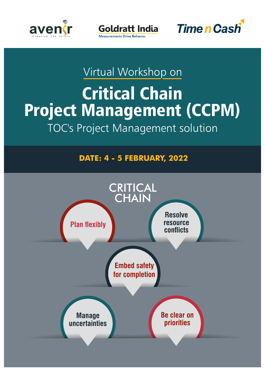





## Virtual Workshop on

# Critical Chain Project Management (CCPM) TOC's Project Management solution

## **DATE: 4 - 5 FEBRUARY, 2022**

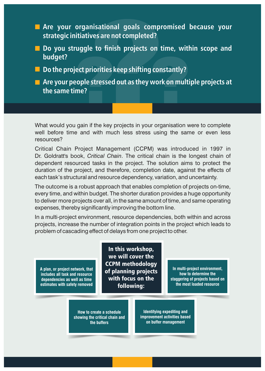- **Are your organisational goals compromised because your strategic initiatives are not completed?**
- **Do you struggle to finish projects on time, within scope and budget?**
- Do the project priorities keep shifting constantly?
- **Are your people stressed out as they work on multiple projects at the same time?**

What would you gain if the key projects in your organisation were to complete well before time and with much less stress using the same or even less resources?

Critical Chain Project Management (CCPM) was introduced in 1997 in Dr. Goldratt's book, *Critical Chain*. The critical chain is the longest chain of dependent resourced tasks in the project. The solution aims to protect the duration of the project, and therefore, completion date, against the effects of each task's structural and resource dependency, variation, and uncertainty.

The outcome is a robust approach that enables completion of projects on-time, every time, and within budget. The shorter duration provides a huge opportunity to deliver more projects over all, in the same amount of time, and same operating expenses, thereby significantly improving the bottom line.

In a multi-project environment, resource dependencies, both within and across projects, increase the number of integration points in the project which leads to problem of cascading effect of delays from one project to other.

**A plan, or project network, that includes all task and resource dependencies as well as time estimates with safety removed**

In this workshop, we will cover the CCPM methodology of planning projects with focus on the following:

**In multi-project environment, how to determine the staggering of projects based on the most loaded resource** 

**How to create a schedule showing the critical chain and the buffers**

**Identifying expediting and improvement activities based on buffer management**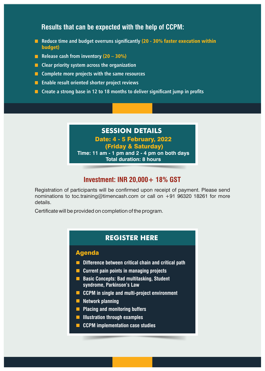## **Results that can be expected with the help of CCPM:**

- **Reduce time and budget overruns significantly (20 30% faster execution within** budget)
- **Release cash from inventory (20 30%)**
- **Clear priority system across the organization**
- **Complete more projects with the same resources**
- **E** Enable result oriented shorter project reviews
- **Create a strong base in 12 to 18 months to deliver significant jump in profits**

## **SESSION DETAILS**

Date: 4 - 5 February, 2022

#### (Friday & Saturday)

**Time: 11 am - 1 pm and 2 - 4 pm on both days Total duration: 8 hours** 

### **Investment: INR 20,000+ 18% GST**

Registration of participants will be confirmed upon receipt of payment. Please send nominations to toc.training@timencash.com or call on +91 96320 18261 for more details.

Certificate will be provided on completion of the program.

#### **[REGISTER HERE](https://toc-training.myinstamojo.com/product/3049145/virtual-workshop-on-critical-chain-project-m/)**

#### Agenda

- **Difference between critical chain and critical path**
- **Current pain points in managing projects**
- **Basic Concepts: Bad multitasking, Student syndrome, Parkinson's Law**
- **CCPM in single and multi-project environment**
- **Network planning**
- **Placing and monitoring buffers**
- **Illustration through examples**
- **CCPM implementation case studies**